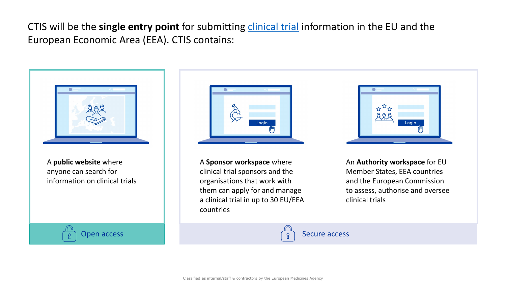CTIS will be the **single entry point** for submitting [clinical trial](https://www.ema.europa.eu/en/glossary/clinical-trial) information in the EU and the European Economic Area (EEA). CTIS contains:



A **public website** where anyone can search for information on clinical trials



A **Sponsor workspace** where clinical trial sponsors and the organisations that work with them can apply for and manage a clinical trial in up to 30 EU/EEA countries



An **Authority workspace** for EU Member States, EEA countries and the European Commission to assess, authorise and oversee clinical trials



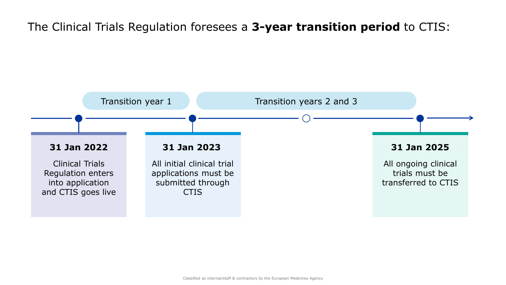The Clinical Trials Regulation foresees a **3-year transition period** to CTIS:

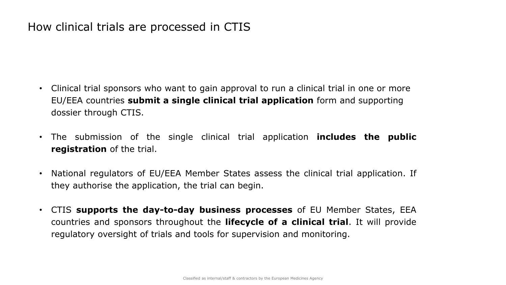# How clinical trials are processed in CTIS

- Clinical trial sponsors who want to gain approval to run a clinical trial in one or more EU/EEA countries **submit a single clinical trial application** form and supporting dossier through CTIS.
- The submission of the single clinical trial application **includes the public registration** of the trial.
- National regulators of EU/EEA Member States assess the clinical trial application. If they authorise the application, the trial can begin.
- CTIS **supports the day-to-day business processes** of EU Member States, EEA countries and sponsors throughout the **lifecycle of a clinical trial**. It will provide regulatory oversight of trials and tools for supervision and monitoring.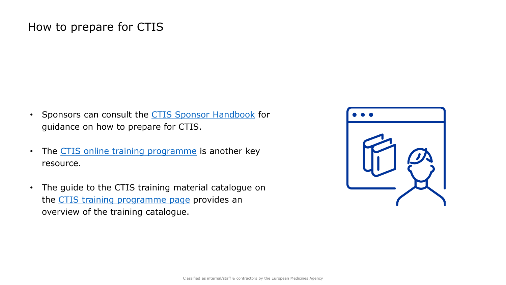# How to prepare for CTIS

- Sponsors can consult the **CTIS Sponsor Handbook** for guidance on how to prepare for CTIS.
- The [CTIS online training programme](https://www.ema.europa.eu/en/human-regulatory/research-development/clinical-trials/clinical-trials-information-system-ctis-online-modular-training-programme) is another key resource.
- The guide to the CTIS training material catalogue on the [CTIS training programme page](https://www.ema.europa.eu/en/human-regulatory/research-development/clinical-trials/clinical-trials-information-system-ctis-online-modular-training-programme) provides an overview of the training catalogue.

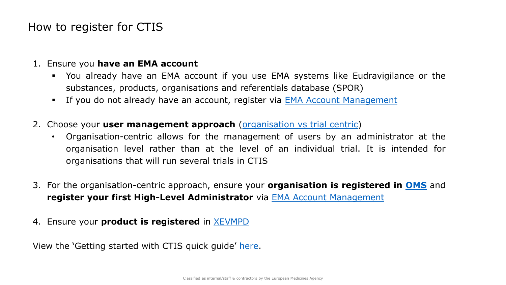### How to register for CTIS

#### 1. Ensure you **have an EMA account**

- You already have an EMA account if you use EMA systems like Eudravigilance or the substances, products, organisations and referentials database (SPOR)
- If you do not already have an account, register via EMA Account [Management](https://register.ema.europa.eu/identityiq/home.html)
- 2. Choose your **user management approach** ([organisation](https://www.youtube.com/watch?v=hfzZxwX2W-Y) vs trial centric)
	- Organisation-centric allows for the management of users by an administrator at the organisation level rather than at the level of an individual trial. It is intended for organisations that will run several trials in CTIS
- 3. For the organisation-centric approach, ensure your **organisation is registered in [OMS](https://www.ema.europa.eu/en/human-regulatory/research-development/data-medicines-iso-idmp-standards/spor-master-data/organisation-management-service-oms)** and **register your first High-Level Administrator** via EMA Account [Management](https://register.ema.europa.eu/identityiq/home.html)
- 4. Ensure your **product is registered** in [XEVMPD](https://www.ema.europa.eu/en/human-regulatory/post-authorisation/data-medicines-iso-idmp-standards/extended-eudravigilance-medicinal-product-dictionary-xevmpd-training)

View the 'Getting started with CTIS quick guide' [here](https://www.ema.europa.eu/en/human-regulatory/research-development/clinical-trials/clinical-trials-information-system-training-support#reference-materials-for-clinical-trial-sponsors-section).